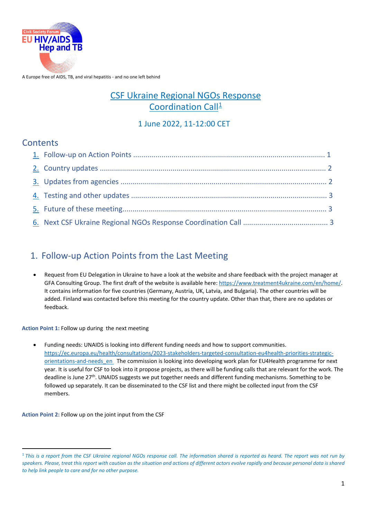

A Europe free of AIDS, TB, and viral hepatitis - and no one left behind

# CSF Ukraine Regional NGOs Response Coordination Call<sup>[1](#page-0-0)</sup>

### 1 June 2022, 11-12:00 CET

## **Contents**

# 1. Follow-up Action Points from the Last Meeting

• Request from EU Delegation in Ukraine to have a look at the website and share feedback with the project manager at GFA Consulting Group. The first draft of the website is available here[: https://www.treatment4ukraine.com/en/home/.](https://www.treatment4ukraine.com/en/home/)  It contains information for five countries (Germany, Austria, UK, Latvia, and Bulgaria). The other countries will be added. Finland was contacted before this meeting for the country update. Other than that, there are no updates or feedback.

**Action Point 1:** Follow up during the next meeting

• Funding needs: UNAIDS is looking into different funding needs and how to support communities. [https://ec.europa.eu/health/consultations/2023-stakeholders-targeted-consultation-eu4health-priorities-strategic](https://ec.europa.eu/health/consultations/2023-stakeholders-targeted-consultation-eu4health-priorities-strategic-orientations-and-needs_en)[orientations-and-needs\\_en](https://ec.europa.eu/health/consultations/2023-stakeholders-targeted-consultation-eu4health-priorities-strategic-orientations-and-needs_en) The commission is looking into developing work plan for EU4Health programme for next year. It is useful for CSF to look into it propose projects, as there will be funding calls that are relevant for the work. The deadline is June 27th. UNAIDS suggests we put together needs and different funding mechanisms. Something to be followed up separately. It can be disseminated to the CSF list and there might be collected input from the CSF members.

**Action Point 2:** Follow up on the joint input from the CSF

**.** 

<span id="page-0-0"></span><sup>1</sup> *This is a report from the CSF Ukraine regional NGOs response call. The information shared is reported as heard. The report was not run by speakers. Please, treat this report with caution as the situation and actions of different actors evolve rapidly and because personal data is shared to help link people to care and for no other purpose.*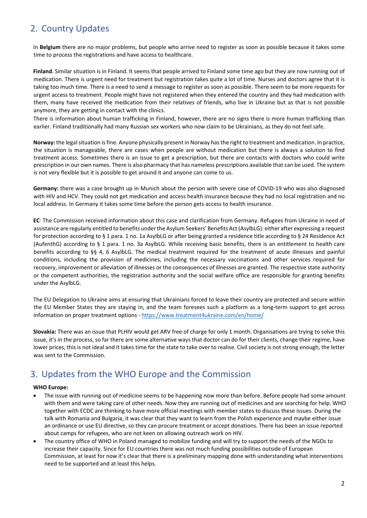## 2. Country Updates

In **Belgium** there are no major problems, but people who arrive need to register as soon as possible because it takes some time to process the registrations and have access to healthcare.

**Finland**. Similar situation is in Finland. It seems that people arrived to Finland some time ago but they are now running out of medication. There is urgent need for treatment but registration takes quite a lot of time. Nurses and doctors agree that it is taking too much time. There is a need to send a message to register as soon as possible. There seem to be more requests for urgent access to treatment. People might have not registered when they entered the country and they had medication with them, many have received the medication from their relatives of friends, who live in Ukraine but as that is not possible anymore, they are getting in contact with the clinics.

There is information about human trafficking in Finland, however, there are no signs there is more human trafficking than earlier. Finland traditionally had many Russian sex workers who now claim to be Ukrainians, as they do not feel safe.

**Norway:** the legal situation is fine. Anyone physically present in Norway has the right to treatment and medication. In practice, the situation is manageable, there are cases when people are without medication but there is always a solution to find treatment access. Sometimes there is an issue to get a prescription, but there are contacts with doctors who could write prescription in our own names. There is also pharmacy that has nameless prescriptions available that can be used. The system is not very flexible but it is possible to get around it and anyone can come to us.

**Germany:** there was a case brought up in Munich about the person with severe case of COVID-19 who was also diagnosed with HIV and HCV. They could not get medication and access health insurance because they had no local registration and no local address. In Germany it takes some time before the person gets access to health insurance.

**EC**: The Commission received information about this case and clarification from Germany. Refugees from Ukraine in need of assistance are regularly entitled to benefits under the Asylum Seekers' Benefits Act (AsylbLG): either after expressing a request for protection according to § 1 para. 1 no. 1a AsylbLG or after being granted a residence title according to § 24 Residence Act (AufenthG) according to § 1 para. 1 no. 3a AsylbLG. While receiving basic benefits, there is an entitlement to health care benefits according to §§ 4, 6 AsylbLG. The medical treatment required for the treatment of acute illnesses and painful conditions, including the provision of medicines, including the necessary vaccinations and other services required for recovery, improvement or alleviation of illnesses or the consequences of illnesses are granted. The respective state authority or the competent authorities, the registration authority and the social welfare office are responsible for granting benefits under the AsylbLG.

The EU Delegation to Ukraine aims at ensuring that Ukrainians forced to leave their country are protected and secure within the EU Member States they are staying in, and the team foresees such a platform as a long-term support to get across information on proper treatment options -<https://www.treatment4ukraine.com/en/home/>

**Slovakia:** There was an issue that PLHIV would get ARV free of charge for only 1 month. Organisations are trying to solve this issue, it's in the process, so far there are some alternative ways that doctor can do for their clients, change their regime, have lower prices, this is not ideal and it takes time for the state to take over to realise. Civil society is not strong enough, the letter was sent to the Commission.

## 3. Updates from the WHO Europe and the Commission

#### **WHO Europe:**

- The issue with running out of medicine seems to be happening now more than before. Before people had some amount with them and were taking care of other needs. Now they are running out of medicines and are searching for help. WHO together with ECDC are thinking to have more official meetings with member states to discuss these issues. During the talk with Romania and Bulgaria, it was clear that they want to learn from the Polish experience and maybe either issue an ordinance or use EU directive, so they can procure treatment or accept donations. There has been an issue reported about camps for refugees, who are not keen on allowing outreach work on HIV.
- The country office of WHO in Poland managed to mobilize funding and will try to support the needs of the NGOs to increase their capacity. Since for EU countries there was not much funding possibilities outside of European Commission, at least for now it's clear that there is a preliminary mapping done with understanding what interventions need to be supported and at least this helps.